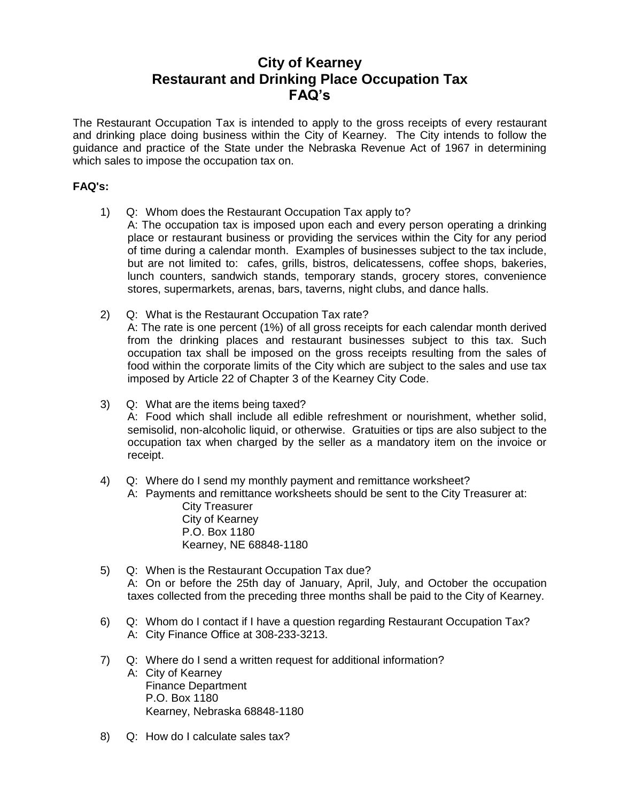## **City of Kearney Restaurant and Drinking Place Occupation Tax FAQ's**

The Restaurant Occupation Tax is intended to apply to the gross receipts of every restaurant and drinking place doing business within the City of Kearney. The City intends to follow the guidance and practice of the State under the Nebraska Revenue Act of 1967 in determining which sales to impose the occupation tax on.

## **FAQ's:**

- 1) Q: Whom does the Restaurant Occupation Tax apply to?
	- A: The occupation tax is imposed upon each and every person operating a drinking place or restaurant business or providing the services within the City for any period of time during a calendar month. Examples of businesses subject to the tax include, but are not limited to: cafes, grills, bistros, delicatessens, coffee shops, bakeries, lunch counters, sandwich stands, temporary stands, grocery stores, convenience stores, supermarkets, arenas, bars, taverns, night clubs, and dance halls.
- 2) Q: What is the Restaurant Occupation Tax rate? A: The rate is one percent (1%) of all gross receipts for each calendar month derived from the drinking places and restaurant businesses subject to this tax. Such occupation tax shall be imposed on the gross receipts resulting from the sales of food within the corporate limits of the City which are subject to the sales and use tax imposed by Article 22 of Chapter 3 of the Kearney City Code.
- 3) Q: What are the items being taxed? A: Food which shall include all edible refreshment or nourishment, whether solid, semisolid, non-alcoholic liquid, or otherwise. Gratuities or tips are also subject to the occupation tax when charged by the seller as a mandatory item on the invoice or receipt.
- 4) Q: Where do I send my monthly payment and remittance worksheet?
	- A: Payments and remittance worksheets should be sent to the City Treasurer at: City Treasurer
		- City of Kearney P.O. Box 1180 Kearney, NE 68848-1180
- 5) Q: When is the Restaurant Occupation Tax due? A: On or before the 25th day of January, April, July, and October the occupation taxes collected from the preceding three months shall be paid to the City of Kearney.
- 6) Q: Whom do I contact if I have a question regarding Restaurant Occupation Tax? A: City Finance Office at 308-233-3213.
- 7) Q: Where do I send a written request for additional information? A: City of Kearney Finance Department P.O. Box 1180 Kearney, Nebraska 68848-1180
- 8) Q: How do I calculate sales tax?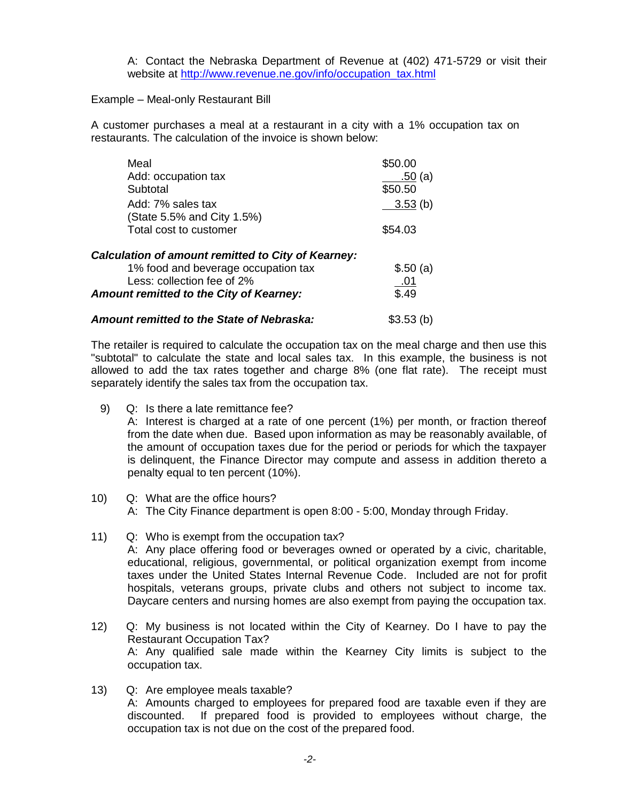A: Contact the Nebraska Department of Revenue at (402) 471-5729 or visit their website at [http://www.revenue.ne.gov/info/occupation\\_tax.html](http://www.revenue.ne.gov/info/occupation_tax.html)

## Example – Meal-only Restaurant Bill

A customer purchases a meal at a restaurant in a city with a 1% occupation tax on restaurants. The calculation of the invoice is shown below:

| Meal                                                      | \$50.00    |
|-----------------------------------------------------------|------------|
| Add: occupation tax                                       | .50(a)     |
| Subtotal                                                  | \$50.50    |
| Add: 7% sales tax<br>(State 5.5% and City 1.5%)           | 3.53(b)    |
| Total cost to customer                                    | \$54.03    |
| <b>Calculation of amount remitted to City of Kearney:</b> |            |
| 1% food and beverage occupation tax                       | \$.50(a)   |
| Less: collection fee of 2%                                | <u>.01</u> |
| Amount remitted to the City of Kearney:                   | \$.49      |
| <b>Amount remitted to the State of Nebraska:</b>          | \$3.53(h)  |

The retailer is required to calculate the occupation tax on the meal charge and then use this "subtotal" to calculate the state and local sales tax. In this example, the business is not allowed to add the tax rates together and charge 8% (one flat rate). The receipt must separately identify the sales tax from the occupation tax.

- 9) Q: Is there a late remittance fee? A: Interest is charged at a rate of one percent (1%) per month, or fraction thereof from the date when due. Based upon information as may be reasonably available, of the amount of occupation taxes due for the period or periods for which the taxpayer is delinquent, the Finance Director may compute and assess in addition thereto a penalty equal to ten percent (10%).
- 10) Q: What are the office hours? A: The City Finance department is open 8:00 - 5:00, Monday through Friday.
- 11) Q: Who is exempt from the occupation tax? A: Any place offering food or beverages owned or operated by a civic, charitable, educational, religious, governmental, or political organization exempt from income taxes under the United States Internal Revenue Code. Included are not for profit hospitals, veterans groups, private clubs and others not subject to income tax. Daycare centers and nursing homes are also exempt from paying the occupation tax.
- 12) Q: My business is not located within the City of Kearney. Do I have to pay the Restaurant Occupation Tax? A: Any qualified sale made within the Kearney City limits is subject to the occupation tax.
- 13) Q: Are employee meals taxable? A: Amounts charged to employees for prepared food are taxable even if they are discounted. If prepared food is provided to employees without charge, the occupation tax is not due on the cost of the prepared food.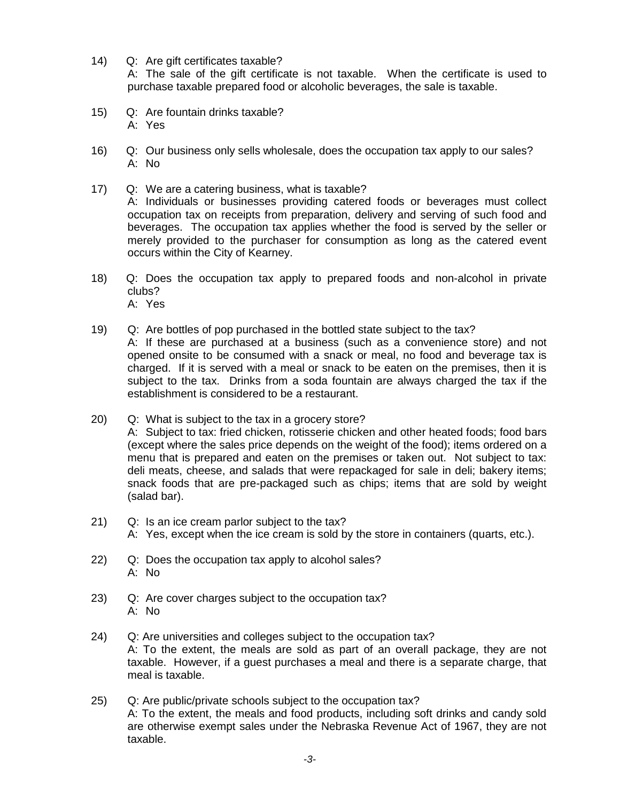- 14) Q: Are gift certificates taxable? A: The sale of the gift certificate is not taxable. When the certificate is used to purchase taxable prepared food or alcoholic beverages, the sale is taxable.
- 15) Q: Are fountain drinks taxable? A: Yes
- 16) Q: Our business only sells wholesale, does the occupation tax apply to our sales? A: No
- 17) Q: We are a catering business, what is taxable? A: Individuals or businesses providing catered foods or beverages must collect occupation tax on receipts from preparation, delivery and serving of such food and beverages. The occupation tax applies whether the food is served by the seller or merely provided to the purchaser for consumption as long as the catered event occurs within the City of Kearney.
- 18) Q: Does the occupation tax apply to prepared foods and non-alcohol in private clubs? A: Yes
- 19) Q: Are bottles of pop purchased in the bottled state subject to the tax? A: If these are purchased at a business (such as a convenience store) and not opened onsite to be consumed with a snack or meal, no food and beverage tax is charged. If it is served with a meal or snack to be eaten on the premises, then it is subject to the tax. Drinks from a soda fountain are always charged the tax if the establishment is considered to be a restaurant.
- 20) Q: What is subject to the tax in a grocery store? A: Subject to tax: fried chicken, rotisserie chicken and other heated foods; food bars (except where the sales price depends on the weight of the food); items ordered on a menu that is prepared and eaten on the premises or taken out. Not subject to tax: deli meats, cheese, and salads that were repackaged for sale in deli; bakery items; snack foods that are pre-packaged such as chips; items that are sold by weight (salad bar).
- 21) Q: Is an ice cream parlor subject to the tax? A: Yes, except when the ice cream is sold by the store in containers (quarts, etc.).
- 22) Q: Does the occupation tax apply to alcohol sales? A: No
- 23) Q: Are cover charges subject to the occupation tax? A: No
- 24) Q: Are universities and colleges subject to the occupation tax? A: To the extent, the meals are sold as part of an overall package, they are not taxable. However, if a guest purchases a meal and there is a separate charge, that meal is taxable.
- 25) Q: Are public/private schools subject to the occupation tax? A: To the extent, the meals and food products, including soft drinks and candy sold are otherwise exempt sales under the Nebraska Revenue Act of 1967, they are not taxable.